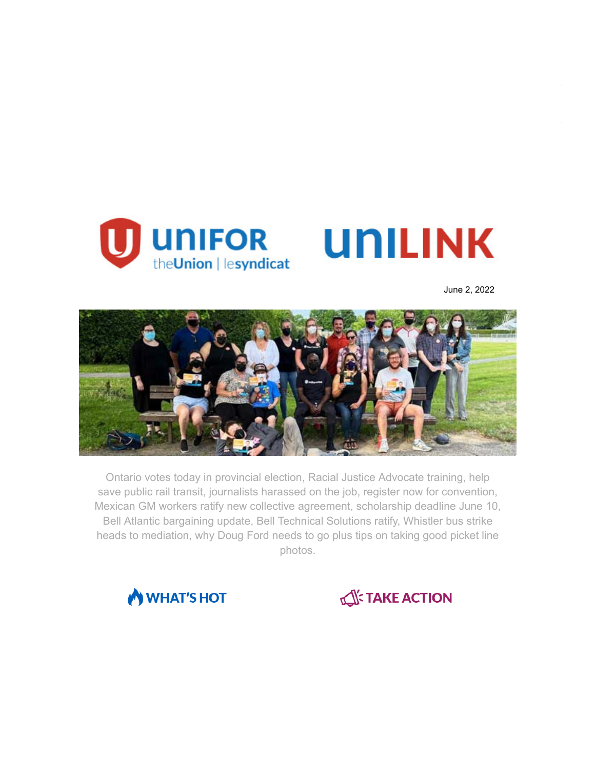

June 2, 2022



Ontario votes today in provincial election, Racial Justice Advocate training, help save public rail transit, journalists harassed on the job, register now for convention, Mexican GM workers ratify new collective agreement, scholarship deadline June 10, Bell Atlantic bargaining update, Bell Technical Solutions ratify, Whistler bus strike heads to mediation, why Doug Ford needs to go plus tips on taking good picket line photos.



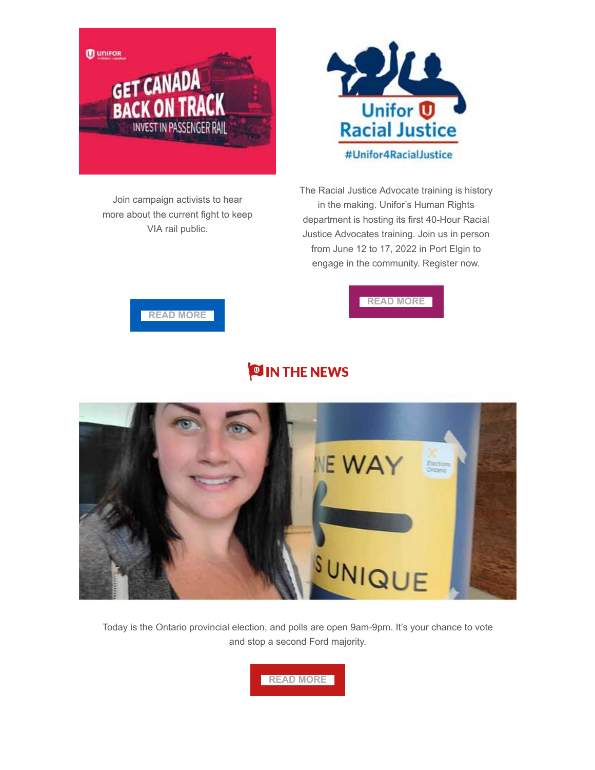



Join campaign activists to hear more about the current fight to keep VIA rail public.

The Racial Justice Advocate training is history in the making. Unifor's Human Rights department is hosting its first 40-Hour Racial Justice Advocates training. Join us in person from June 12 to 17, 2022 in Port Elgin to engage in the community. Register now.

**[READ MORE](https://www.unifor.org/news/events/unifor-racial-justice-40-hour-training)**



## **OIN THE NEWS**



Today is the Ontario provincial election, and polls are open 9am-9pm. It's your chance to vote and stop a second Ford majority.

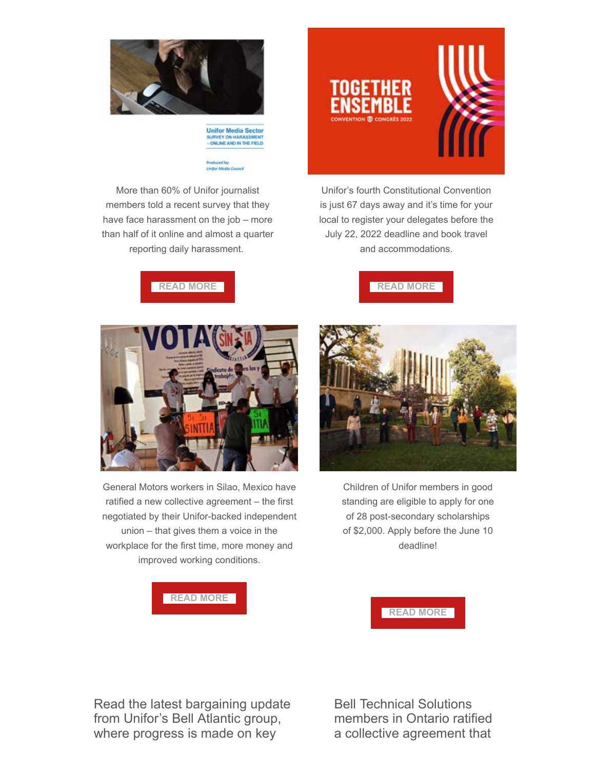

**Unifor Media Sector** URVEY ON HARASSMENT<br>ONLINE AND IN THE FIELD

More than 60% of Unifor journalist members told a recent survey that they have face harassment on the job – more than half of it online and almost a quarter reporting daily harassment.



Unifor's fourth Constitutional Convention is just 67 days away and it's time for your local to register your delegates before the July 22, 2022 deadline and book travel and accommodations.





Children of Unifor members in good standing are eligible to apply for one of 28 post-secondary scholarships of \$2,000. Apply before the June 10 deadline!



General Motors workers in Silao, Mexico have ratified a new collective agreement – the first negotiated by their Unifor-backed independent union – that gives them a voice in the workplace for the first time, more money and improved working conditions.



**[READ MORE](https://www.unifor.org/resources/education/scholarships)**

Read the latest bargaining update from Unifor's Bell Atlantic group, where progress is made on key

Bell Technical Solutions members in Ontario ratified a collective agreement that